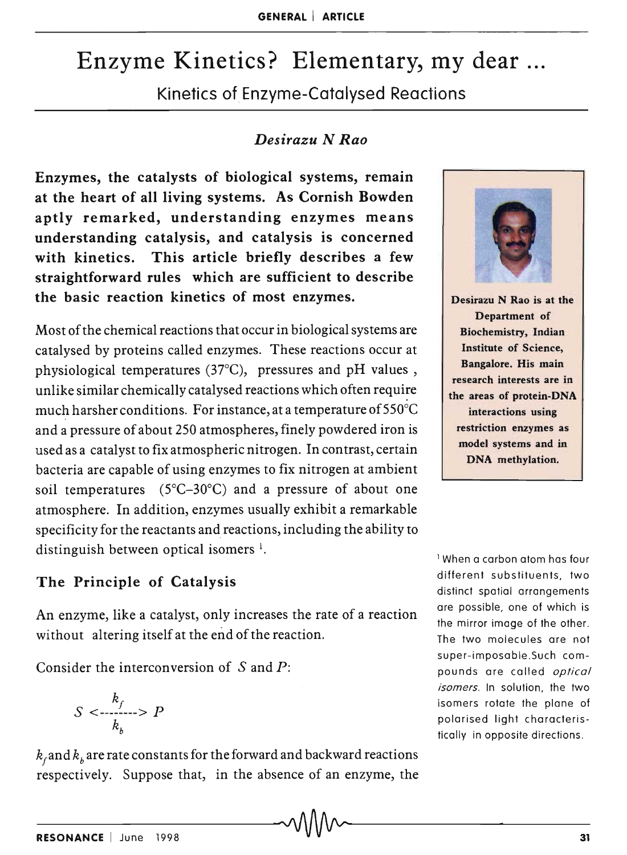# Enzyme Kinetics? Elementary, my dear

Kinetics of Enzyme-Catalysed Reactions

## *Desirazu N Rao*

Enzymes, the catalysts of biological systems, remain at the heart of all living systems. As Cornish Bowden aptly remarked, understanding enzymes means understanding catalysis, and catalysis is concerned with kinetics. This article briefly describes a few straightforward rules which are sufficient to describe the basic reaction kinetics of most enzymes.

Most of the chemical reactions that occur in biological systems are catalysed by proteins called enzymes. These reactions occur at physiological temperatures (37°C), pressures and pH values, unlike similar chemically catalysed reactions which often require much harsher conditions. For instance, at a temperature of 550°C and a pressure of about 250 atmospheres, finely powdered iron is used as a catalyst to fix atmospheric nitrogen. In contrast, certain bacteria are capable of using enzymes to fix nitrogen at ambient soil temperatures (5°C-30°C) and a pressure of about one atmosphere. In addition, enzymes usually exhibit a remarkable specificity for the reactants and reactions, including the ability to distinguish between optical isomers  $\frac{1}{2}$ .

# The Principle of Catalysis

An enzyme, like a catalyst, only increases the rate of a reaction without altering itself at the end of the reaction.

Consider the interconversion of Sand *P:* 

$$
S < \frac{k_f}{k_b} > P
$$

 $k_f$ and  $k_b$  are rate constants for the forward and backward reactions respectively. Suppose that, in the absence of an enzyme, the



Desirazu N Rao is at the Department of Biochemistry, Indian Institute of Science, Bangalore. His main research interests are in the ateas of protein-DNA interactions using restriction enzymes as model systems and in DNA methylation.

1 When a carbon atom has four different substituents, two distinct spatial arrangements are possible, one of which is the mirror image of the other. The two molecules are not super-imposable.Such compounds are called *optical isomers.* In solution, the two isomers rotate the plane of polarised light characteristically in opposite directions.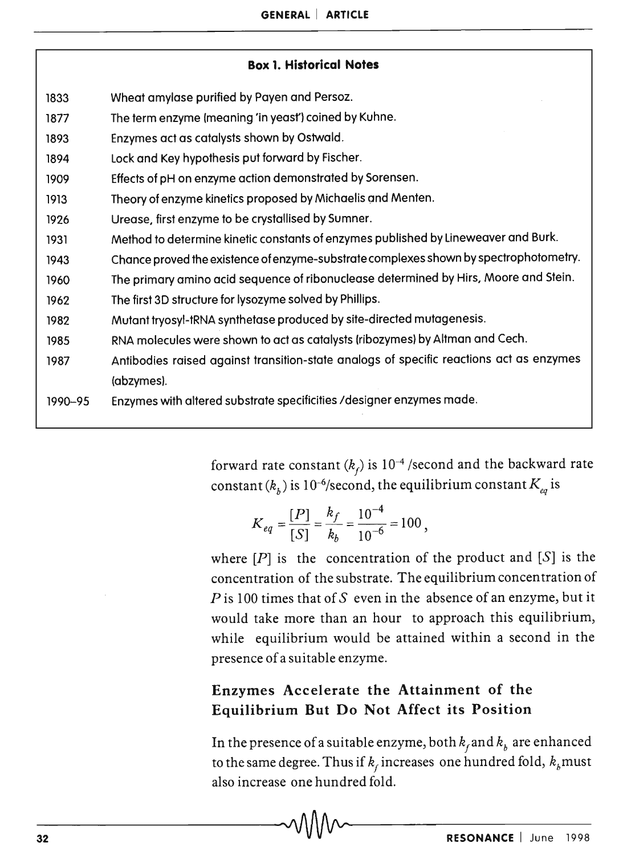#### Box 1. Historical Notes

- 1833 Wheat amylase purified by Payen and Persoz.
- 1877 The term enzyme (meaning 'in yeast') coined by Kuhne.
- 1893 Enzymes act as catalysts shown by Ostwald.
- 1894 Lock and Key hypothesis put forward by Fischer.
- 1909 Effects of pH on enzyme action demonstrated by Sorensen.
- 1913 Theory of enzyme kinetics proposed by Michaelis qnd Menten.
- 1926 Urease, first enzyme to be crystallised by Sumner.
- 1931 Method to determine kinetic constants of enzymes published by Lineweaver and Burk.
- 1943 Chance proved the existence of enzyme-substrate complexes shown by spectrophotometry.
- 1960 The primary amino acid sequence of ribonuclease determined by Hirs, Moore and Stein.
- 1962 The first 3D structure for lysozyme solved by Phillips.
- 1982 Mutant tryosyl-tRNA synthetase produced by site-directed mutagenesis.
- 1985 RNA molecules were shown to act as catalysts (ribozymes) by Altman and Cech.
- 1987 Antibodies raised against transition-state analogs of specific reactions act as enzymes (abzymes).
- 1990-95 Enzymes with altered substrate specificities / designer enzymes made.

forward rate constant  $(k_f)$  is  $10^{-4}$  /second and the backward rate constant ( $k^{}_b$ ) is  $10^{-6}\!/$ second, the equilibrium constant  $K^{}_{eq}$  is

$$
K_{eq} = \frac{[P]}{[S]} = \frac{k_f}{k_b} = \frac{10^{-4}}{10^{-6}} = 100,
$$

where  $[P]$  is the concentration of the product and  $[S]$  is the concentration of the substrate. The equilibrium concentration of  $P$  is 100 times that of S even in the absence of an enzyme, but it would take more than an hour to approach this equilibrium, while equilibrium would be attained within a second in the presence of a suitable enzyme.

# Enzymes Accelerate the Attainment of the Equilibrium But Do Not Affect its Position

In the presence of a suitable enzyme, both  $k_f$  and  $k_b$  are enhanced to the same degree. Thus if  $k_{\scriptscriptstyle f}$  increases  $\,$  one hundred fold,  $k_{\scriptscriptstyle b}$ must  $\,$ also increase one hundred fold.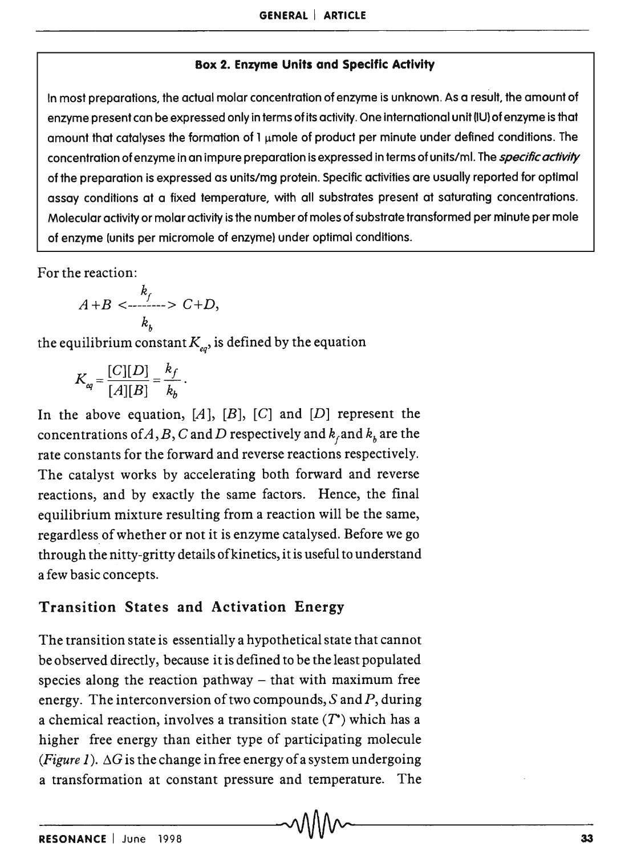#### Box 2. Enzyme Units and Specific Activity

In most preparations, the actual molar concentration of enzyme is unknown. As a result, the amount of enzyme present can be expressed only in terms of its activity. One international unit (IU) of enzyme is that amount that catalyses the formation of  $1 \mu$ mole of product per minute under defined conditions. The concentration of enzyme in an impure preparation is expressed in terms of units/ml. The *specific activity* of the preparation is expressed as units/mg protein. Specific activities are usually reported for optimal assay conditions at a fixed temperature, with all substrates present at saturating concentrations. Molecular activity or molar activity is the number of moles of substrate transformed per minute per mole of enzyme (units per micromole of enzyme) under optimal conditions.

For the reaction:

$$
A+B < \frac{k_f}{k_h} > C+D,
$$

the equilibrium constant K*eq ,* is defined by the equation

$$
K_{eq} = \frac{[C][D]}{[A][B]} = \frac{k_f}{k_b}.
$$

In the above equation,  $[A], [B], [C]$  and  $[D]$  represent the concentrations of A, B, C and D respectively and  $k_f$  and  $k_b$  are the rate constants for the forward and reverse reactions respectively. The catalyst works by accelerating both forward and reverse reactions, and by exactly the same factors. Hence, the final equilibrium mixture resulting from a reaction will be the same, regardless of whether or not it is enzyme catalysed. Before we go through the nitty-gritty details of kinetics, it is useful to understand a few basic concepts.

## Transition States and Activation Energy

The transition state is essentially a hypothetical state that cannot be observed directly, because it is defined to be the least populated species along the reaction pathway  $-$  that with maximum free energy. The interconversion of two compounds,  $S$  and  $P$ , during a chemical reaction, involves a transition state  $(T^*)$  which has a higher free energy than either type of participating molecule *(Figure 1).*  $\Delta G$  is the change in free energy of a system undergoing a transformation at constant pressure and temperature. The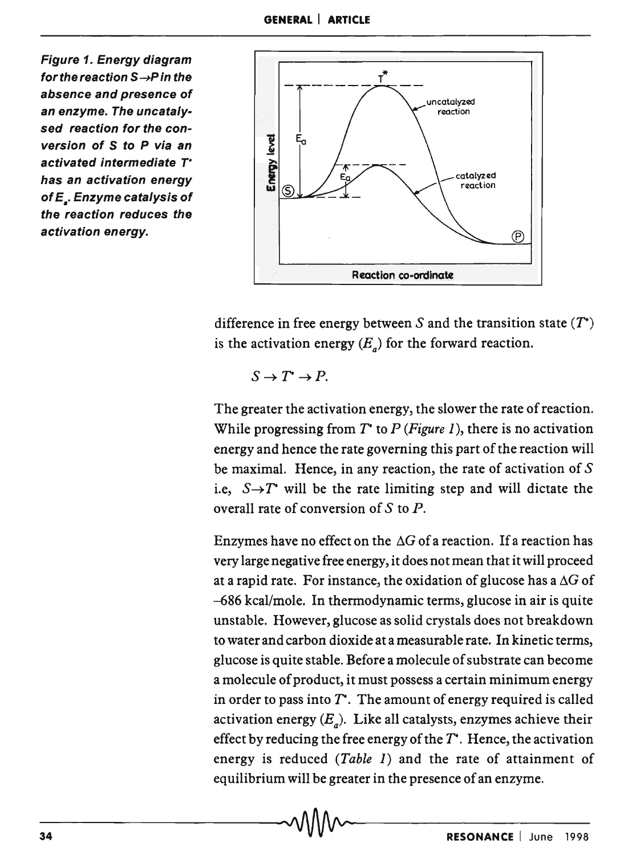Figure 1. Energy diagram for the reaction  $S \rightarrow P$  in the absence and presence of an enzyme. The uncatalysed reaction for the conversion of S to P via an activated intermediate T<sup>\*</sup> has an activation energy of E<sub>-</sub>. Enzyme catalysis of the reaction reduces the activation energy.



difference in free energy between S and the transition state *(T\*)*  is the activation energy  $(E_n)$  for the forward reaction.

$$
S \to T^* \to P.
$$

The greater the activation energy, the slower the rate of reaction. While progressing from *T\** to *P (Figure* 1), there is no activation energy and hence the rate governing this part of the reaction will be maximal. Hence, in any reaction, the rate of activation of S i.e,  $S \rightarrow T^*$  will be the rate limiting step and will dictate the overall rate of conversion of  $S$  to  $P$ .

Enzymes have no effect on the  $\Delta G$  of a reaction. If a reaction has very large negative free energy, it does not mean that it will proceed at a rapid rate. For instance, the oxidation of glucose has a  $\Delta G$  of -686 kcal/mole. In thermodynamic terms, glucose in air is quite unstable. However, glucose as solid crystals does not breakdown to water and carbon dioxide at a measurable rate. In kinetic terms, glucose is quite stable. Before a molecule of substrate can become a molecule of product, it must possess a certain minimum energy in order to pass into *T\*.* The amount of energy required is called activation energy  $(E_n)$ . Like all catalysts, enzymes achieve their effect by reducing the free energy of the *T\*.* Hence, the activation energy is reduced *(Table* 1) and the rate of attainment of equilibrium will be greater in the presence of an enzyme.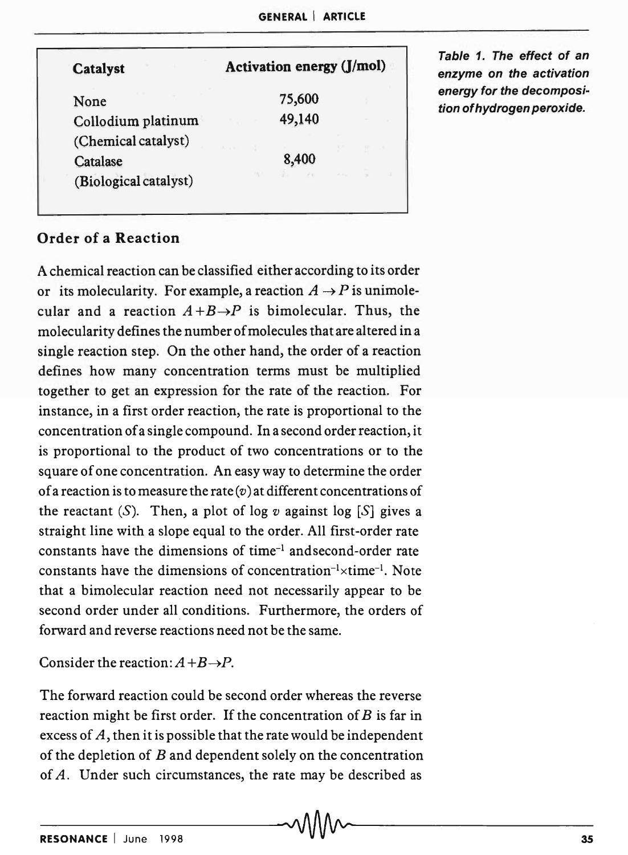| <b>Catalyst</b>       | Activation energy (J/mol) |        |  |  |  |
|-----------------------|---------------------------|--------|--|--|--|
| None                  |                           | 75,600 |  |  |  |
| Collodium platinum    |                           | 49,140 |  |  |  |
| (Chemical catalyst)   | <b>REGAL</b>              |        |  |  |  |
| Catalase              |                           | 8,400  |  |  |  |
| (Biological catalyst) |                           |        |  |  |  |

Table 1. The effect of an enzyme on the activation energy for the decomposition of hydrogen peroxide.

## Order of a Reaction

A chemical reaction can be classified either according to its order or its molecularity. For example, a reaction  $A \rightarrow P$  is unimolecular and a reaction  $A + B \rightarrow P$  is bimolecular. Thus, the molecularity defines the number of molecules that are altered in a single reaction step. On the other hand, the order of a reaction defines how many concentration terms must be multiplied together to get an expression for the rate of the reaction. For instance, in a first order reaction, the rate is proportional to the concentration of a single compound. In a second order reaction, it is proportional to the product of two concentrations or to the square of one concentration. An easy way to determine the order of a reaction is to measure the rate  $(v)$  at different concentrations of the reactant  $(S)$ . Then, a plot of log  $v$  against log  $[S]$  gives a straight line with a slope equal to the order. All first-order rate constants have the dimensions of time-1 and second-order rate constants have the dimensions of concentration<sup>-1</sup> $\times$ time<sup>-1</sup>. Note that a bimolecular reaction need not necessarily appear to be second order under all conditions. Furthermore, the orders of forward and reverse reactions need not be the same.

Consider the reaction:  $A + B \rightarrow P$ .

The forward reaction could be second order whereas the reverse reaction might be first order. If the concentration of  $B$  is far in excess of A, then it is possible that the rate would be independent of the depletion of B and dependent solely on the concentration of A. Under such circumstances, the rate may be described as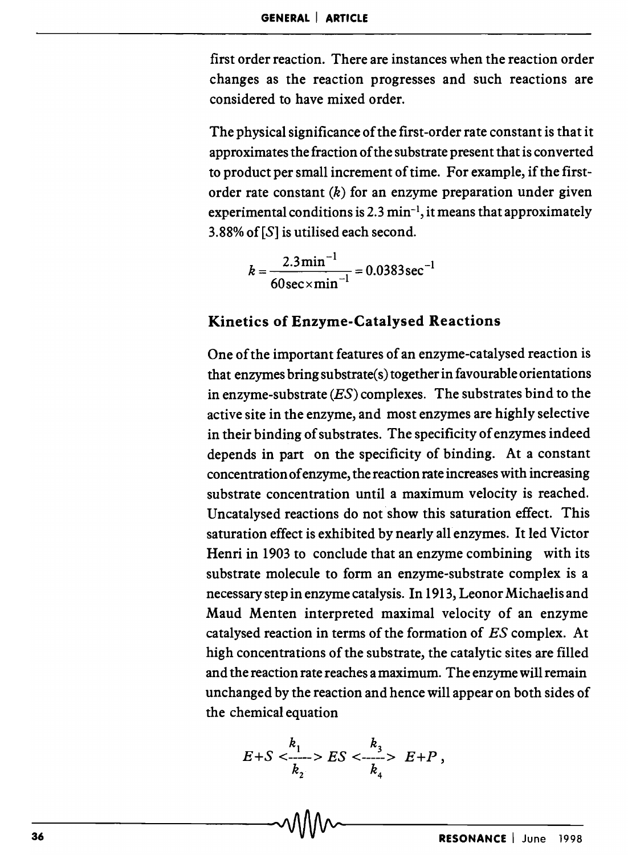first order reaction. There are instances when the reaction order changes as the reaction progresses and such reactions are considered to have mixed order.

The physical significance of the first-order rate constant is that it approximates the fraction of the substrate present that is converted to product per small increment of time. For example, if the firstorder rate constant  $(k)$  for an enzyme preparation under given experimental conditions is  $2.3 \text{ min}^{-1}$ , it means that approximately 3.88% of[S] is utilised each second.

$$
k = \frac{2.3 \text{min}^{-1}}{60 \text{sec} \times \text{min}^{-1}} = 0.0383 \text{sec}^{-1}
$$

### Kinetics of Enzyme-Catalysed Reactions

One of the important features of an enzyme-catalysed reaction is that enzymes bring substrate(s) together in favourable orientations in enzyme-substrate  $(ES)$  complexes. The substrates bind to the active site in the enzyme, and most enzymes are highly selective in their binding of substrates. The specificity of enzymes indeed depends in part on the specificity of binding. At a constant concentration of enzyme, the reaction rate increases with increasing substrate concentration until a maximum velocity is reached. Uncatalysed reactions do not show this saturation effect. This saturation effect is exhibited by nearly all enzymes. It led Victor Henri in 1903 to conclude that an enzyme combining with its substrate molecule to form an enzyme-substrate complex is a necessary step in enzyme catalysis. In 1913, Leonor Michaelis and Maud Menten interpreted maximal velocity of an enzyme catalysed reaction in terms of the formation of ES complex. At high concentrations of the substrate, the catalytic sites are filled and the reaction rate reaches a maximum. The enzyme will remain unchanged by the reaction and hence will appear on both sides of the chemical equation

$$
E+S < \frac{k_1}{k_2} > ES < \frac{k_3}{k_4} > E+P,
$$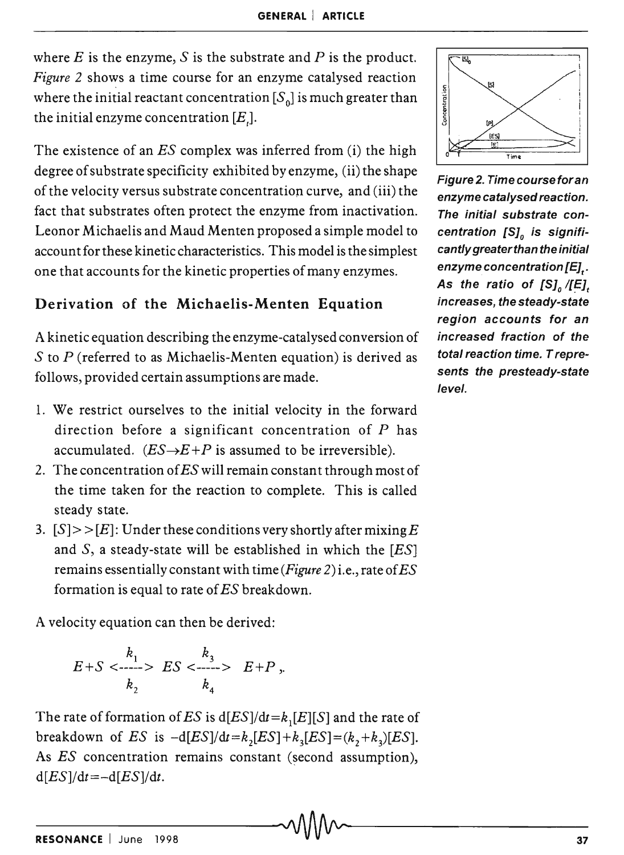where  $E$  is the enzyme,  $S$  is the substrate and  $P$  is the product. Figure 2 shows a time course for an enzyme catalysed reaction where the initial reactant concentration  $[S_0]$  is much greater than the initial enzyme concentration  $[E]$ .

The existence of an  $ES$  complex was inferred from  $(i)$  the high degree of substrate specificity exhibited by enzyme, (ii) the shape of the velocity versus substrate concentration curve, and (iii) the fact that substrates often protect the enzyme from inactivation. Leonor Michaelis and Maud Menten proposed a simple model to account for these kinetic characteristics. This model is the simplest one that accounts for the kinetic properties of many enzymes.

## Derivation of the Michaelis-Menten Equation

A kinetic equation describing the enzyme-catalysed conversion of S to *P* (referred to as Michaelis-Menten equation) is derived as follows, provided certain assumptions are made.

- 1. We restrict ourselves to the initial velocity in the forward direction before a significant concentration of  $P$  has accumulated.  $(ES \rightarrow E + P)$  is assumed to be irreversible).
- 2. The concentration of ES will remain constant through most of the time taken for the reaction to complete. This is called steady state.
- 3.  $|S|$  >  $|E|$ : Under these conditions very shortly after mixing E and  $S$ , a steady-state will be established in which the  $[ES]$ remains essentially constant with time (Figure 2) i.e., rate of  $ES$ formation is equal to rate of ES breakdown.

A velocity equation can then be derived:

$$
E+S < \frac{k_1}{k_2} > ES < \frac{k_3}{k_4} > E+P,
$$

The rate of formation of ES is  $d[ES]/dt=k$ <sub>1</sub>[E][S] and the rate of breakdown of ES is  $-d[ES]/dt = k_2[ES] + k_3[ES] = (k_2 + k_3)[ES]$ . As  $ES$  concentration remains constant (second assumption),  $d[ES]/dt = -d[ES]/dt$ .



Figure 2. Timecourseforan enzyme catalysed reaction. The initial substrate concentration  $[S]_0$  is significantly greaterthan the initial enzyme concentration [E],. As the ratio of  $[S]_0 / [E]_t$ increases, the steady-state region accounts for an increased fraction of the total reaction time. T represents the presteady-state level.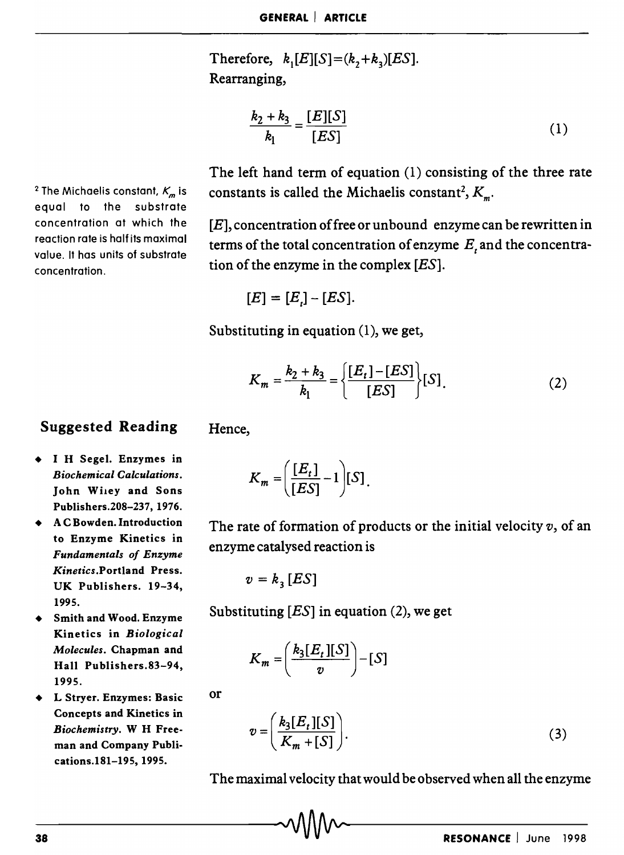Therefore,  $k_1[E][S] = (k_2 + k_3)[ES]$ . Rearranging,

$$
\frac{k_2 + k_3}{k_1} = \frac{[E][S]}{[ES]}
$$
 (1)

<sup>2</sup> The Michaelis constant,  $K_m$  is equal to the substrate concentration at which the reaction rate is half its maximal value. It has units of substrate concentration.

The left hand term of equation (1) consisting of the three rate constants is called the Michaelis constant<sup>2</sup>,  $K_{\mu}$ .

 $[E]$ , concentration of free or unbound enzyme can be rewritten in terms of the total concentration of enzyme  $E_t$  and the concentration of the enzyme in the complex [ES].

$$
[E] = [E_i] - [ES].
$$

Substituting in equation (1), we get,

$$
K_m = \frac{k_2 + k_3}{k_1} = \left\{ \frac{[E_t] - [ES]}{[ES]} \right\} [S].
$$
 (2)

## Suggested Reading

- I H Segel. Enzymes in *Biochemical Calculations.*  John Wiley and Sons Publishers.208-237, 1976.
- A C Bowden. Introduction to Enzyme Kinetics in *Fundamentals of Enzyme Kinetics.Portland* Press. UK Publishers. 19-34, 1995.
- Smith and Wood. Enzyme Kinetics in *Biological Molecules.* Chapman and Hall Publishers.83-94, 1995.
- L Stryer. Enzymes: Basic Concepts and Kinetics in *Biochemistry.* W H Freeman and Company Publications.181-195, 1995.

Hence,

$$
K_m = \left(\frac{[E_t]}{[ES]} - 1\right)[S].
$$

The rate of formation of products or the initial velocity *v,* of an enzyme catalysed reaction is

$$
v = k_{\rm a} [ES]
$$

Substituting  $[ES]$  in equation (2), we get

$$
K_m = \left(\frac{k_3[E_t][S]}{v}\right) - [S]
$$

or

$$
v = \left(\frac{k_3[E_t][S]}{K_m + [S]}\right). \tag{3}
$$

The maximal velocity that would be observed when all the enzyme